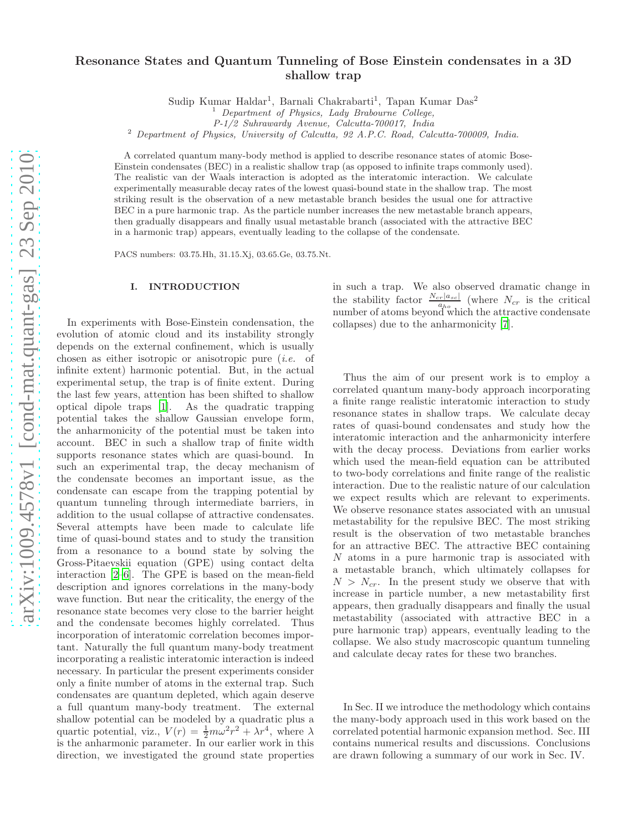# Resonance States and Quantum Tunneling of Bose Einstein condensates in a 3D shallow trap

Sudip Kumar Haldar<sup>1</sup>, Barnali Chakrabarti<sup>1</sup>, Tapan Kumar Das<sup>2</sup>

P-1/2 Suhrawardy Avenue, Calcutta-700017, India

<sup>2</sup> Department of Physics, University of Calcutta, 92 A.P.C. Road, Calcutta-700009, India.

A correlated quantum many-body method is applied to describe resonance states of atomic Bose-Einstein condensates (BEC) in a realistic shallow trap (as opposed to infinite traps commonly used). The realistic van der Waals interaction is adopted as the interatomic interaction. We calculate experimentally measurable decay rates of the lowest quasi-bound state in the shallow trap. The most striking result is the observation of a new metastable branch besides the usual one for attractive BEC in a pure harmonic trap. As the particle number increases the new metastable branch appears, then gradually disappears and finally usual metastable branch (associated with the attractive BEC in a harmonic trap) appears, eventually leading to the collapse of the condensate.

PACS numbers: 03.75.Hh, 31.15.Xj, 03.65.Ge, 03.75.Nt.

### I. INTRODUCTION

In experiments with Bose-Einstein condensation, the evolution of atomic cloud and its instability strongly depends on the external confinement, which is usually chosen as either isotropic or anisotropic pure (i.e. of infinite extent) harmonic potential. But, in the actual experimental setup, the trap is of finite extent. During the last few years, attention has been shifted to shallow optical dipole traps [\[1](#page-7-0)]. As the quadratic trapping potential takes the shallow Gaussian envelope form, the anharmonicity of the potential must be taken into account. BEC in such a shallow trap of finite width supports resonance states which are quasi-bound. In such an experimental trap, the decay mechanism of the condensate becomes an important issue, as the condensate can escape from the trapping potential by quantum tunneling through intermediate barriers, in addition to the usual collapse of attractive condensates. Several attempts have been made to calculate life time of quasi-bound states and to study the transition from a resonance to a bound state by solving the Gross-Pitaevskii equation (GPE) using contact delta interaction [\[2](#page-7-1)[–6\]](#page-7-2). The GPE is based on the mean-field description and ignores correlations in the many-body wave function. But near the criticality, the energy of the resonance state becomes very close to the barrier height and the condensate becomes highly correlated. Thus incorporation of interatomic correlation becomes important. Naturally the full quantum many-body treatment incorporating a realistic interatomic interaction is indeed necessary. In particular the present experiments consider only a finite number of atoms in the external trap. Such condensates are quantum depleted, which again deserve a full quantum many-body treatment. The external shallow potential can be modeled by a quadratic plus a quartic potential, viz.,  $V(r) = \frac{1}{2}m\omega^2 r^2 + \lambda r^4$ , where  $\lambda$ is the anharmonic parameter. In our earlier work in this direction, we investigated the ground state properties

in such a trap. We also observed dramatic change in the stability factor  $\frac{N_{cr}|a_{sc}|}{a_{ho}}$  (where  $N_{cr}$  is the critical number of atoms beyond which the attractive condensate collapses) due to the anharmonicity [\[7\]](#page-7-3).

Thus the aim of our present work is to employ a correlated quantum many-body approach incorporating a finite range realistic interatomic interaction to study resonance states in shallow traps. We calculate decay rates of quasi-bound condensates and study how the interatomic interaction and the anharmonicity interfere with the decay process. Deviations from earlier works which used the mean-field equation can be attributed to two-body correlations and finite range of the realistic interaction. Due to the realistic nature of our calculation we expect results which are relevant to experiments. We observe resonance states associated with an unusual metastability for the repulsive BEC. The most striking result is the observation of two metastable branches for an attractive BEC. The attractive BEC containing N atoms in a pure harmonic trap is associated with a metastable branch, which ultimately collapses for  $N > N_{cr}$ . In the present study we observe that with increase in particle number, a new metastability first appears, then gradually disappears and finally the usual metastability (associated with attractive BEC in a pure harmonic trap) appears, eventually leading to the collapse. We also study macroscopic quantum tunneling and calculate decay rates for these two branches.

In Sec. II we introduce the methodology which contains the many-body approach used in this work based on the correlated potential harmonic expansion method. Sec. III contains numerical results and discussions. Conclusions are drawn following a summary of our work in Sec. IV.

 $<sup>1</sup>$  Department of Physics, Lady Brabourne College,</sup>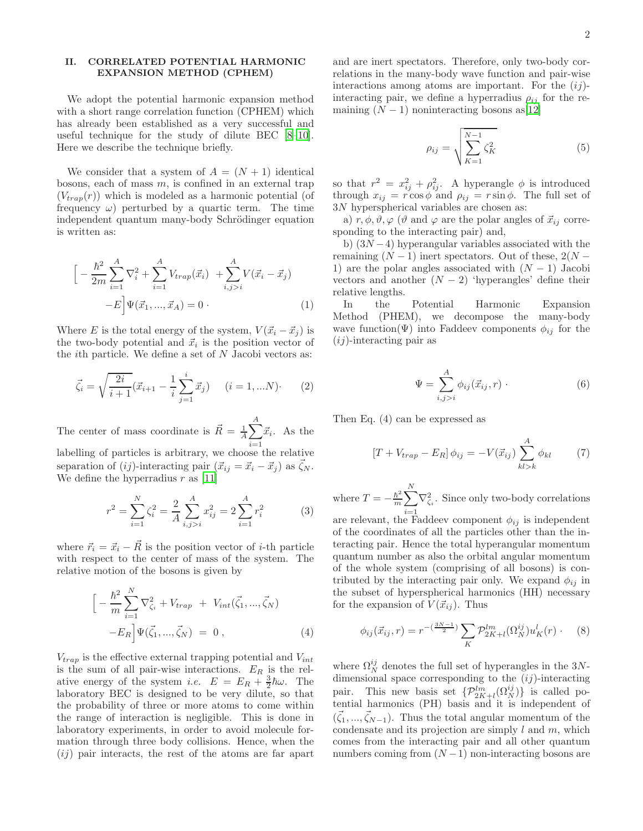## II. CORRELATED POTENTIAL HARMONIC EXPANSION METHOD (CPHEM)

We adopt the potential harmonic expansion method with a short range correlation function (CPHEM) which has already been established as a very successful and useful technique for the study of dilute BEC [\[8](#page-7-4)[–10\]](#page-7-5). Here we describe the technique briefly.

We consider that a system of  $A = (N + 1)$  identical bosons, each of mass  $m$ , is confined in an external trap  $(V_{trap}(r))$  which is modeled as a harmonic potential (of frequency  $\omega$ ) perturbed by a quartic term. The time independent quantum many-body Schrödinger equation is written as:

$$
\left[ -\frac{\hbar^2}{2m} \sum_{i=1}^A \nabla_i^2 + \sum_{i=1}^A V_{trap}(\vec{x}_i) + \sum_{i,j>i}^A V(\vec{x}_i - \vec{x}_j) - E \right] \Psi(\vec{x}_1, ..., \vec{x}_A) = 0.
$$
\n(1)

Where E is the total energy of the system,  $V(\vec{x}_i - \vec{x}_i)$  is the two-body potential and  $\vec{x}_i$  is the position vector of the *i*th particle. We define a set of  $N$  Jacobi vectors as:

$$
\vec{\zeta}_i = \sqrt{\frac{2i}{i+1}} (\vec{x}_{i+1} - \frac{1}{i} \sum_{j=1}^i \vec{x}_j) \qquad (i = 1, ... N) \tag{2}
$$

The center of mass coordinate is  $\vec{R} = \frac{1}{A} \sum_{i=1}^{A}$  $i=1$  $\vec{x}_i$ . As the labelling of particles is arbitrary, we choose the relative separation of  $(ij)$ -interacting pair  $({\vec{x}}_{ij} = {\vec{x}}_i - {\vec{x}}_j )$  as  $\vec{\zeta}_N$ . We define the hyperradius  $r$  as [\[11\]](#page-7-6)

$$
r^{2} = \sum_{i=1}^{N} \zeta_{i}^{2} = \frac{2}{A} \sum_{i,j>i}^{A} x_{ij}^{2} = 2 \sum_{i=1}^{A} r_{i}^{2}
$$
 (3)

where  $\vec{r}_i = \vec{x}_i - \vec{R}$  is the position vector of *i*-th particle with respect to the center of mass of the system. The relative motion of the bosons is given by

$$
\left[ -\frac{\hbar^2}{m} \sum_{i=1}^{N} \nabla_{\zeta_i}^2 + V_{trap} + V_{int}(\vec{\zeta}_1, ..., \vec{\zeta}_N) -E_R \right] \Psi(\vec{\zeta}_1, ..., \vec{\zeta}_N) = 0, \qquad (4)
$$

 $V_{trap}$  is the effective external trapping potential and  $V_{int}$ is the sum of all pair-wise interactions.  $E_R$  is the relative energy of the system *i.e.*  $E = E_R + \frac{3}{2}\hbar\omega$ . The laboratory BEC is designed to be very dilute, so that the probability of three or more atoms to come within the range of interaction is negligible. This is done in laboratory experiments, in order to avoid molecule formation through three body collisions. Hence, when the  $(ij)$  pair interacts, the rest of the atoms are far apart and are inert spectators. Therefore, only two-body correlations in the many-body wave function and pair-wise interactions among atoms are important. For the  $(ij)$ interacting pair, we define a hyperradius  $\rho_{ij}$  for the remaining  $(N-1)$  noninteracting bosons as [\[12\]](#page-7-7)

$$
\rho_{ij} = \sqrt{\sum_{K=1}^{N-1} \zeta_K^2} \tag{5}
$$

so that  $r^2 = x_{ij}^2 + \rho_{ij}^2$ . A hyperangle  $\phi$  is introduced through  $x_{ij} = r \cos \phi$  and  $\rho_{ij} = r \sin \phi$ . The full set of 3N hyperspherical variables are chosen as:

a)  $r, \phi, \vartheta, \varphi$  ( $\vartheta$  and  $\varphi$  are the polar angles of  $\vec{x}_{ij}$  corresponding to the interacting pair) and,

b)  $(3N-4)$  hyperangular variables associated with the remaining  $(N-1)$  inert spectators. Out of these,  $2(N-$ 1) are the polar angles associated with  $(N-1)$  Jacobi vectors and another  $(N-2)$  'hyperangles' define their relative lengths.

In the Potential Harmonic Expansion Method (PHEM), we decompose the many-body wave function( $\Psi$ ) into Faddeev components  $\phi_{ij}$  for the  $(i)$ -interacting pair as

$$
\Psi = \sum_{i,j>i}^{A} \phi_{ij}(\vec{x}_{ij}, r) \tag{6}
$$

Then Eq. (4) can be expressed as

$$
\left[T + V_{trap} - E_R\right]\phi_{ij} = -V(\vec{x}_{ij})\sum_{kl>k}^{A} \phi_{kl} \tag{7}
$$

where  $T = -\frac{\hbar^2}{m}$  $\frac{\hbar^2}{m} \sum$ N  $\sum_{i=1} \nabla^2_{\zeta_i}$ . Since only two-body correlations

are relevant, the Faddeev component  $\phi_{ij}$  is independent of the coordinates of all the particles other than the interacting pair. Hence the total hyperangular momentum quantum number as also the orbital angular momentum of the whole system (comprising of all bosons) is contributed by the interacting pair only. We expand  $\phi_{ij}$  in the subset of hyperspherical harmonics (HH) necessary for the expansion of  $V(\vec{x}_{ij})$ . Thus

$$
\phi_{ij}(\vec{x}_{ij},r) = r^{-\left(\frac{3N-1}{2}\right)} \sum_{K} \mathcal{P}_{2K+l}^{lm}(\Omega_N^{ij}) u_K^l(r) \qquad (8)
$$

where  $\Omega_N^{ij}$  denotes the full set of hyperangles in the 3Ndimensional space corresponding to the  $(ij)$ -interacting pair. This new basis set  $\{\mathcal{P}_{2K+l}^{lm}(\Omega_N^{ij})\}$  is called potential harmonics (PH) basis and it is independent of  $(\vec{\zeta}_1, ..., \vec{\zeta}_{N-1})$ . Thus the total angular momentum of the condensate and its projection are simply  $l$  and  $m$ , which comes from the interacting pair and all other quantum numbers coming from  $(N-1)$  non-interacting bosons are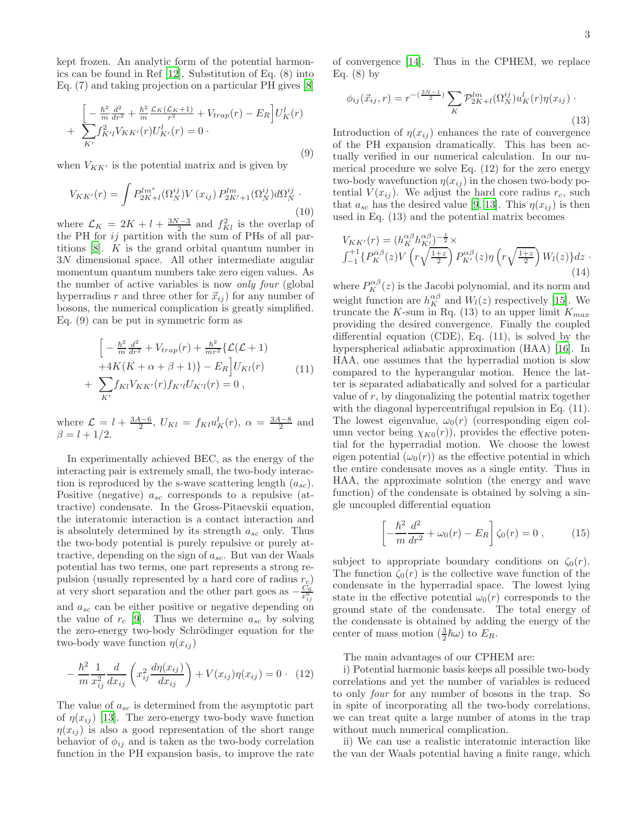kept frozen. An analytic form of the potential harmonics can be found in Ref [\[12](#page-7-7)]. Substitution of Eq. (8) into Eq. (7) and taking projection on a particular PH gives [\[8](#page-7-4)]

$$
\left[ -\frac{\hbar^2}{m} \frac{d^2}{dr^2} + \frac{\hbar^2}{m} \frac{\mathcal{L}_K(\mathcal{L}_K+1)}{r^2} + V_{trap}(r) - E_R \right] U_K^l(r) + \sum_{K'} f_{K'l}^2 V_{KK'}(r) U_{K'}^l(r) = 0.
$$
\n(9)

when  $V_{KK'}$  is the potential matrix and is given by

$$
V_{KK'}(r) = \int P_{2K+l}^{lm^*} (\Omega_N^{ij}) V(x_{ij}) P_{2K'+1}^{lm} (\Omega_N^{ij}) d\Omega_N^{ij}.
$$
\n(10)

where  $\mathcal{L}_K = 2K + l + \frac{3N-3}{2}$  and  $f_{Kl}^2$  is the overlap of the PH for  $ij$  partition with the sum of PHs of all partitions [\[8\]](#page-7-4). K is the grand orbital quantum number in 3N dimensional space. All other intermediate angular momentum quantum numbers take zero eigen values. As the number of active variables is now only four (global hyperradius r and three other for  $\vec{x}_{ij}$  ) for any number of bosons, the numerical complication is greatly simplified. Eq. (9) can be put in symmetric form as

$$
\left[ -\frac{\hbar^2}{m} \frac{d^2}{dr^2} + V_{trap}(r) + \frac{\hbar^2}{mr^2} \{ \mathcal{L}(\mathcal{L} + 1) + 4K(K + \alpha + \beta + 1) \} - E_R \right] U_{Kl}(r) + \sum_{K'} f_{Kl} V_{KK'}(r) f_{K'l} U_{K'l}(r) = 0 ,
$$
\n(11)

where  $\mathcal{L} = l + \frac{3A-6}{2}$ ,  $U_{Kl} = f_{Kl} u_K^l(r)$ ,  $\alpha = \frac{3A-8}{2}$  and  $\beta = l + 1/2.$ 

In experimentally achieved BEC, as the energy of the interacting pair is extremely small, the two-body interaction is reproduced by the s-wave scattering length  $(a_{sc})$ . Positive (negative)  $a_{sc}$  corresponds to a repulsive (attractive) condensate. In the Gross-Pitaevskii equation, the interatomic interaction is a contact interaction and is absolutely determined by its strength  $a_{sc}$  only. Thus the two-body potential is purely repulsive or purely attractive, depending on the sign of  $a_{sc}$ . But van der Waals potential has two terms, one part represents a strong repulsion (usually represented by a hard core of radius  $r_c$ ) at very short separation and the other part goes as  $-\frac{C_6}{x_{ij}^6}$ and  $a_{sc}$  can be either positive or negative depending on the value of  $r_c$  [\[9\]](#page-7-8). Thus we determine  $a_{sc}$  by solving the zero-energy two-body Schrödinger equation for the two-body wave function  $\eta(x_{ii})$ 

$$
-\frac{\hbar^2}{m}\frac{1}{x_{ij}^2}\frac{d}{dx_{ij}}\left(x_{ij}^2\frac{d\eta(x_{ij})}{dx_{ij}}\right) + V(x_{ij})\eta(x_{ij}) = 0 \quad (12)
$$

The value of  $a_{sc}$  is determined from the asymptotic part of  $\eta(x_{ij})$  [\[13](#page-7-9)]. The zero-energy two-body wave function  $\eta(x_{ij})$  is also a good representation of the short range behavior of  $\phi_{ij}$  and is taken as the two-body correlation function in the PH expansion basis, to improve the rate

of convergence [\[14\]](#page-7-10). Thus in the CPHEM, we replace Eq.  $(8)$  by

$$
\phi_{ij}(\vec{x}_{ij},r) = r^{-\left(\frac{3N-1}{2}\right)} \sum_{K} \mathcal{P}_{2K+l}^{lm}(\Omega_N^{ij}) u_K^l(r) \eta(x_{ij})
$$
\n(13)

Introduction of  $\eta(x_{ij})$  enhances the rate of convergence of the PH expansion dramatically. This has been actually verified in our numerical calculation. In our numerical procedure we solve Eq.  $(12)$  for the zero energy two-body wavefunction  $\eta(x_{ij})$  in the chosen two-body potential  $V(x_{ij})$ . We adjust the hard core radius  $r_c$ , such that  $a_{sc}$  has the desired value [\[9,](#page-7-8) [13\]](#page-7-9). This  $\eta(x_{ij})$  is then used in Eq. (13) and the potential matrix becomes

$$
V_{KK'}(r) = (h_K^{\alpha\beta} h_{K'}^{\alpha\beta})^{-\frac{1}{2}} \times
$$
  

$$
\int_{-1}^{+1} \{ P_K^{\alpha\beta}(z) V\left( r \sqrt{\frac{1+z}{2}} \right) P_{K'}^{\alpha\beta}(z) \eta\left( r \sqrt{\frac{1+z}{2}} \right) W_l(z) \} dz
$$
 (14)

where  $P_K^{\alpha\beta}(z)$  is the Jacobi polynomial, and its norm and weight function are  $h_K^{\alpha\beta}$  and  $W_l(z)$  respectively [\[15](#page-7-11)]. We truncate the K-sum in Rq. (13) to an upper limit  $K_{max}$ providing the desired convergence. Finally the coupled differential equation (CDE), Eq. (11), is solved by the hyperspherical adiabatic approximation (HAA) [\[16](#page-7-12)]. In HAA, one assumes that the hyperradial motion is slow compared to the hyperangular motion. Hence the latter is separated adiabatically and solved for a particular value of  $r$ , by diagonalizing the potential matrix together with the diagonal hypercentrifugal repulsion in Eq.  $(11)$ . The lowest eigenvalue,  $\omega_0(r)$  (corresponding eigen column vector being  $\chi_{K0}(r)$ , provides the effective potential for the hyperradial motion. We choose the lowest eigen potential  $(\omega_0(r))$  as the effective potential in which the entire condensate moves as a single entity. Thus in HAA, the approximate solution (the energy and wave function) of the condensate is obtained by solving a single uncoupled differential equation

$$
\left[ -\frac{\hbar^2}{m} \frac{d^2}{dr^2} + \omega_0(r) - E_R \right] \zeta_0(r) = 0 , \qquad (15)
$$

subject to appropriate boundary conditions on  $\zeta_0(r)$ . The function  $\zeta_0(r)$  is the collective wave function of the condensate in the hyperradial space. The lowest lying state in the effective potential  $\omega_0(r)$  corresponds to the ground state of the condensate. The total energy of the condensate is obtained by adding the energy of the center of mass motion  $(\frac{3}{2}\hbar\omega)$  to  $E_R$ .

The main advantages of our CPHEM are:

i) Potential harmonic basis keeps all possible two-body correlations and yet the number of variables is reduced to only four for any number of bosons in the trap. So in spite of incorporating all the two-body correlations, we can treat quite a large number of atoms in the trap without much numerical complication.

ii) We can use a realistic interatomic interaction like the van der Waals potential having a finite range, which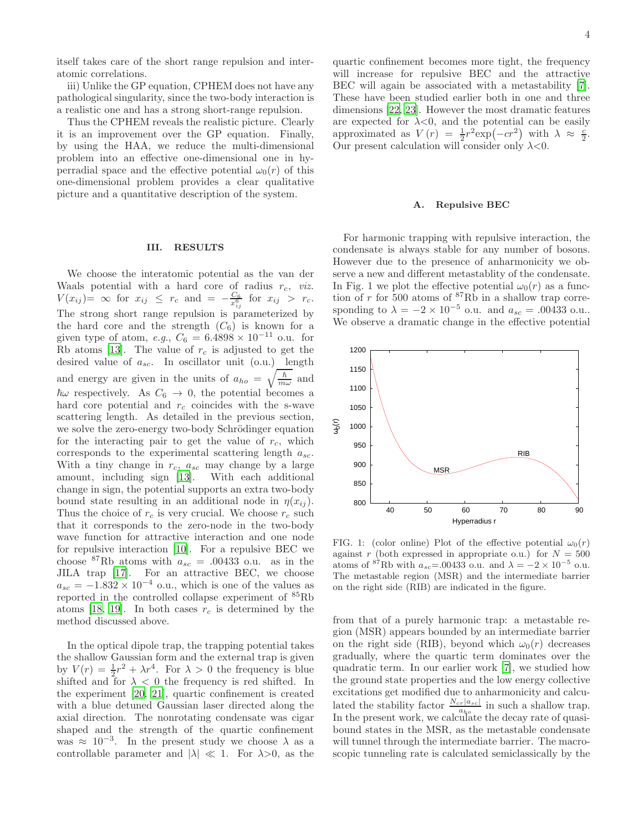iii) Unlike the GP equation, CPHEM does not have any pathological singularity, since the two-body interaction is a realistic one and has a strong short-range repulsion.

Thus the CPHEM reveals the realistic picture. Clearly it is an improvement over the GP equation. Finally, by using the HAA, we reduce the multi-dimensional problem into an effective one-dimensional one in hyperradial space and the effective potential  $\omega_0(r)$  of this one-dimensional problem provides a clear qualitative picture and a quantitative description of the system.

#### III. RESULTS

We choose the interatomic potential as the van der Waals potential with a hard core of radius  $r_c$ , *viz.*  $V(x_{ij}) = \infty$  for  $x_{ij} \leq r_c$  and  $= -\frac{C_6}{x_{ij}^6}$  for  $x_{ij} > r_c$ . The strong short range repulsion is parameterized by the hard core and the strength  $(C_6)$  is known for a given type of atom, e.g.,  $C_6 = 6.4898 \times 10^{-11}$  o.u. for Rb atoms [\[13\]](#page-7-9). The value of  $r_c$  is adjusted to get the desired value of  $a_{sc}$ . In oscillator unit (o.u.) length and energy are given in the units of  $a_{ho} = \sqrt{\frac{\hbar}{m}}$  $\frac{h}{m\omega}$  and  $\hbar\omega$  respectively. As  $C_6 \rightarrow 0$ , the potential becomes a hard core potential and  $r_c$  coincides with the s-wave scattering length. As detailed in the previous section, we solve the zero-energy two-body Schrödinger equation for the interacting pair to get the value of  $r_c$ , which corresponds to the experimental scattering length  $a_{sc}$ . With a tiny change in  $r_c$ ,  $a_{sc}$  may change by a large amount, including sign [\[13](#page-7-9)]. With each additional change in sign, the potential supports an extra two-body bound state resulting in an additional node in  $\eta(x_{ij})$ . Thus the choice of  $r_c$  is very crucial. We choose  $r_c$  such that it corresponds to the zero-node in the two-body wave function for attractive interaction and one node for repulsive interaction [\[10](#page-7-5)]. For a repulsive BEC we choose <sup>87</sup>Rb atoms with  $a_{sc} = .00433$  o.u. as in the JILA trap [\[17\]](#page-7-13). For an attractive BEC, we choose  $a_{sc} = -1.832 \times 10^{-4}$  o.u., which is one of the values as reported in the controlled collapse experiment of <sup>85</sup>Rb atoms [\[18](#page-7-14), [19\]](#page-7-15). In both cases  $r_c$  is determined by the method discussed above.

In the optical dipole trap, the trapping potential takes the shallow Gaussian form and the external trap is given by  $V(r) = \frac{1}{2}r^2 + \lambda r^4$ . For  $\lambda > 0$  the frequency is blue shifted and for  $\lambda < 0$  the frequency is red shifted. In the experiment [\[20,](#page-7-16) [21\]](#page-7-17), quartic confinement is created with a blue detuned Gaussian laser directed along the axial direction. The nonrotating condensate was cigar shaped and the strength of the quartic confinement was  $\approx 10^{-3}$ . In the present study we choose  $\lambda$  as a controllable parameter and  $|\lambda| \ll 1$ . For  $\lambda > 0$ , as the quartic confinement becomes more tight, the frequency will increase for repulsive BEC and the attractive BEC will again be associated with a metastability [\[7\]](#page-7-3). These have been studied earlier both in one and three dimensions [\[22,](#page-7-18) [23\]](#page-7-19). However the most dramatic features are expected for  $\lambda < 0$ , and the potential can be easily approximated as  $V(r) = \frac{1}{2}r^2 \exp(-cr^2)$  with  $\lambda \approx \frac{c}{2}$ . Our present calculation will consider only  $\lambda < 0$ .

#### A. Repulsive BEC

For harmonic trapping with repulsive interaction, the condensate is always stable for any number of bosons. However due to the presence of anharmonicity we observe a new and different metastablity of the condensate. In Fig. 1 we plot the effective potential  $\omega_0(r)$  as a function of  $r$  for 500 atoms of  ${}^{87}$ Rb in a shallow trap corresponding to  $\lambda = -2 \times 10^{-5}$  o.u. and  $a_{sc} = .00433$  o.u.. We observe a dramatic change in the effective potential



FIG. 1: (color online) Plot of the effective potential  $\omega_0(r)$ against r (both expressed in appropriate o.u.) for  $N = 500$ atoms of  ${}^{87}$ Rb with  $a_{sc} = .00433$  o.u. and  $\lambda = -2 \times 10^{-5}$  o.u. The metastable region (MSR) and the intermediate barrier on the right side (RIB) are indicated in the figure.

from that of a purely harmonic trap: a metastable region (MSR) appears bounded by an intermediate barrier on the right side (RIB), beyond which  $\omega_0(r)$  decreases gradually, where the quartic term dominates over the quadratic term. In our earlier work [\[7](#page-7-3)], we studied how the ground state properties and the low energy collective excitations get modified due to anharmonicity and calculated the stability factor  $\frac{N_{cr}|a_{sc}|}{a_{ho}}$  in such a shallow trap. In the present work, we calculate the decay rate of quasibound states in the MSR, as the metastable condensate will tunnel through the intermediate barrier. The macroscopic tunneling rate is calculated semiclassically by the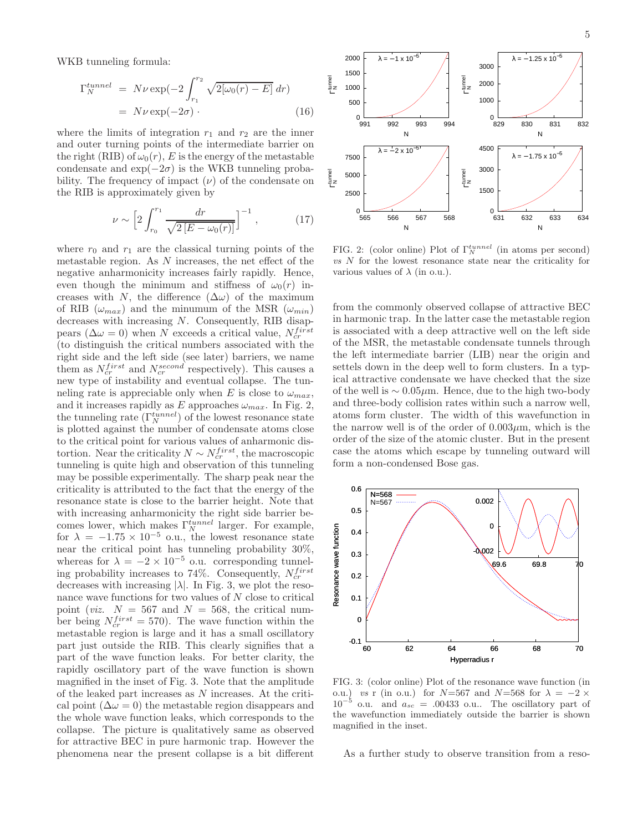WKB tunneling formula:

$$
\Gamma_N^{tunnel} = N\nu \exp(-2 \int_{r_1}^{r_2} \sqrt{2[\omega_0(r) - E]} dr)
$$

$$
= N\nu \exp(-2\sigma) \tag{16}
$$

where the limits of integration  $r_1$  and  $r_2$  are the inner and outer turning points of the intermediate barrier on the right (RIB) of  $\omega_0(r)$ , E is the energy of the metastable condensate and  $\exp(-2\sigma)$  is the WKB tunneling probability. The frequency of impact  $(\nu)$  of the condensate on the RIB is approximately given by

$$
\nu \sim \left[2\int_{r_0}^{r_1} \frac{dr}{\sqrt{2\left[E - \omega_0(r)\right]}}\right]^{-1},\tag{17}
$$

where  $r_0$  and  $r_1$  are the classical turning points of the metastable region. As N increases, the net effect of the negative anharmonicity increases fairly rapidly. Hence, even though the minimum and stiffness of  $\omega_0(r)$  increases with N, the difference  $(\Delta \omega)$  of the maximum of RIB  $(\omega_{max})$  and the minumum of the MSR  $(\omega_{min})$ decreases with increasing N. Consequently, RIB disappears ( $\Delta \omega = 0$ ) when N exceeds a critical value,  $N_{cr}^{first}$ (to distinguish the critical numbers associated with the right side and the left side (see later) barriers, we name them as  $N_{cr}^{first}$  and  $N_{cr}^{second}$  respectively). This causes a new type of instability and eventual collapse. The tunneling rate is appreciable only when E is close to  $\omega_{max}$ , and it increases rapidly as E approaches  $\omega_{max}$ . In Fig. 2, the tunneling rate  $(\Gamma_N^{tunnel})$  of the lowest resonance state is plotted against the number of condensate atoms close to the critical point for various values of anharmonic distortion. Near the criticality  $N \sim N_{cr}^{first}$ , the macroscopic tunneling is quite high and observation of this tunneling may be possible experimentally. The sharp peak near the criticality is attributed to the fact that the energy of the resonance state is close to the barrier height. Note that with increasing anharmonicity the right side barrier becomes lower, which makes  $\Gamma_N^{tunnel}$  larger. For example, for  $\lambda = -1.75 \times 10^{-5}$  o.u., the lowest resonance state near the critical point has tunneling probability 30%, whereas for  $\lambda = -2 \times 10^{-5}$  o.u. corresponding tunneling probability increases to 74%. Consequently,  $N_{cr}^{first}$ decreases with increasing  $|\lambda|$ . In Fig. 3, we plot the resonance wave functions for two values of  $N$  close to critical point (*viz.*  $N = 567$  and  $N = 568$ , the critical number being  $N_{cr}^{first} = 570$ . The wave function within the metastable region is large and it has a small oscillatory part just outside the RIB. This clearly signifies that a part of the wave function leaks. For better clarity, the rapidly oscillatory part of the wave function is shown magnified in the inset of Fig. 3. Note that the amplitude of the leaked part increases as N increases. At the critical point  $(\Delta \omega = 0)$  the metastable region disappears and the whole wave function leaks, which corresponds to the collapse. The picture is qualitatively same as observed for attractive BEC in pure harmonic trap. However the phenomena near the present collapse is a bit different



FIG. 2: (color online) Plot of  $\Gamma_N^{tunnel}$  (in atoms per second)  $vs N$  for the lowest resonance state near the criticality for various values of  $\lambda$  (in o.u.).

from the commonly observed collapse of attractive BEC in harmonic trap. In the latter case the metastable region is associated with a deep attractive well on the left side of the MSR, the metastable condensate tunnels through the left intermediate barrier (LIB) near the origin and settels down in the deep well to form clusters. In a typical attractive condensate we have checked that the size of the well is  $\sim 0.05 \mu m$ . Hence, due to the high two-body and three-body collision rates within such a narrow well, atoms form cluster. The width of this wavefunction in the narrow well is of the order of  $0.003 \mu m$ , which is the order of the size of the atomic cluster. But in the present case the atoms which escape by tunneling outward will form a non-condensed Bose gas.



FIG. 3: (color online) Plot of the resonance wave function (in o.u.) vs r (in o.u.) for  $N=567$  and  $N=568$  for  $\lambda = -2 \times$  $10^{-5}$  o.u. and  $a_{sc} = .00433$  o.u.. The oscillatory part of the wavefunction immediately outside the barrier is shown magnified in the inset.

As a further study to observe transition from a reso-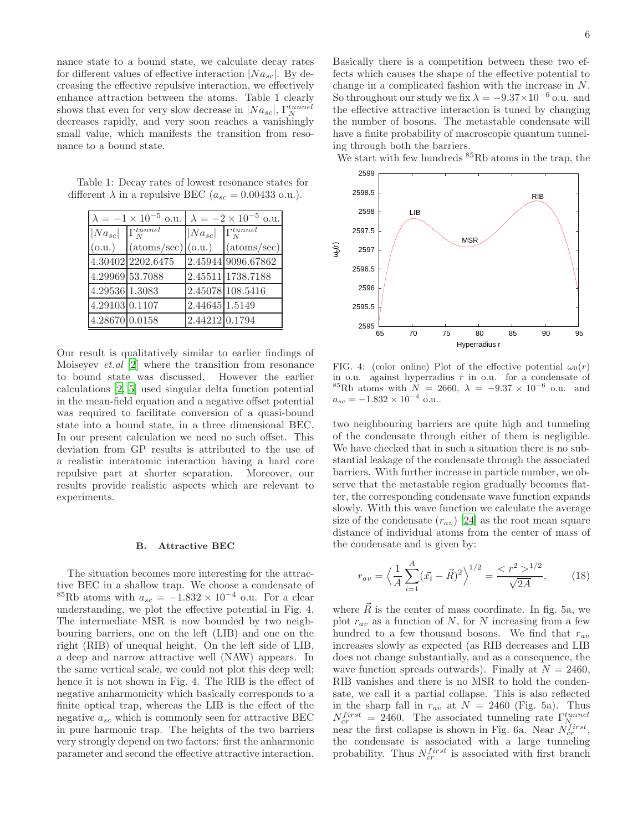nance state to a bound state, we calculate decay rates for different values of effective interaction  $|Na_{sc}|$ . By decreasing the effective repulsive interaction, we effectively enhance attraction between the atoms. Table 1 clearly shows that even for very slow decrease in  $|Na_{sc}|$ ,  $\Gamma_N^{tunnel}$ decreases rapidly, and very soon reaches a vanishingly small value, which manifests the transition from resonance to a bound state.

Table 1: Decay rates of lowest resonance states for different  $\lambda$  in a repulsive BEC ( $a_{sc} = 0.00433$  o.u.).

| $\lambda = -1 \times 10^{-5}$ o.u. $\lambda = -2 \times 10^{-5}$ o.u. |                                    |                |                      |
|-----------------------------------------------------------------------|------------------------------------|----------------|----------------------|
| $ Na_{sc} $ $\Gamma_N^{tunnel}$                                       |                                    | $ Na_{sc} $    | $\Gamma_N^{tunnel}$  |
| (0.u.)                                                                | $(\text{atoms/sec}) (\text{o.u.})$ |                | $(\text{atoms/sec})$ |
|                                                                       | 4.30402 2202.6475                  |                | 2.45944 9096.67862   |
| 4.29969 53.7088                                                       |                                    |                | 2.45511 1738.7188    |
| 4.29536 1.3083                                                        |                                    |                | 2.45078 108.5416     |
| 4.29103 0.1107                                                        |                                    | 2.44645 1.5149 |                      |
| 4.28670 0.0158                                                        |                                    | 2.44212 0.1794 |                      |

Our result is qualitatively similar to earlier findings of Moiseyev et.al [\[2](#page-7-1)] where the transition from resonance to bound state was discussed. However the earlier calculations [\[2,](#page-7-1) [5\]](#page-7-20) used singular delta function potential in the mean-field equation and a negative offset potential was required to facilitate conversion of a quasi-bound state into a bound state, in a three dimensional BEC. In our present calculation we need no such offset. This deviation from GP results is attributed to the use of a realistic interatomic interaction having a hard core repulsive part at shorter separation. Moreover, our results provide realistic aspects which are relevant to experiments.

#### B. Attractive BEC

The situation becomes more interesting for the attractive BEC in a shallow trap. We choose a condensate of <sup>85</sup>Rb atoms with  $a_{sc} = -1.832 \times 10^{-4}$  o.u. For a clear understanding, we plot the effective potential in Fig. 4. The intermediate MSR is now bounded by two neighbouring barriers, one on the left (LIB) and one on the right (RIB) of unequal height. On the left side of LIB, a deep and narrow attractive well (NAW) appears. In the same vertical scale, we could not plot this deep well; hence it is not shown in Fig. 4. The RIB is the effect of negative anharmonicity which basically corresponds to a finite optical trap, whereas the LIB is the effect of the negative  $a_{sc}$  which is commonly seen for attractive BEC in pure harmonic trap. The heights of the two barriers very strongly depend on two factors: first the anharmonic parameter and second the effective attractive interaction.

Basically there is a competition between these two effects which causes the shape of the effective potential to change in a complicated fashion with the increase in N. So throughout our study we fix  $\lambda = -9.37 \times 10^{-6}$  o.u. and the effective attractive interaction is tuned by changing the number of bosons. The metastable condensate will have a finite probability of macroscopic quantum tunneling through both the barriers.

We start with few hundreds  ${}^{85}Rb$  atoms in the trap, the



FIG. 4: (color online) Plot of the effective potential  $\omega_0(r)$ in o.u. against hyperradius  $r$  in o.u. for a condensate of <sup>85</sup>Rb atoms with  $N = 2660, \ \lambda = -9.37 \times 10^{-6}$  o.u. and  $a_{sc} = -1.832 \times 10^{-4}$  o.u..

two neighbouring barriers are quite high and tunneling of the condensate through either of them is negligible. We have checked that in such a situation there is no substantial leakage of the condensate through the associated barriers. With further increase in particle number, we observe that the metastable region gradually becomes flatter, the corresponding condensate wave function expands slowly. With this wave function we calculate the average size of the condensate  $(r_{av})$  [\[24\]](#page-8-0) as the root mean square distance of individual atoms from the center of mass of the condensate and is given by:

$$
r_{av} = \left\langle \frac{1}{A} \sum_{i=1}^{A} (\vec{x_i} - \vec{R})^2 \right\rangle^{1/2} = \frac{\langle r^2 \rangle^{1/2}}{\sqrt{2A}},\qquad(18)
$$

where  $\overline{R}$  is the center of mass coordinate. In fig. 5a, we plot  $r_{av}$  as a function of N, for N increasing from a few hundred to a few thousand bosons. We find that  $r_{av}$ increases slowly as expected (as RIB decreases and LIB does not change substantially, and as a consequence, the wave function spreads outwards). Finally at  $N = 2460$ , RIB vanishes and there is no MSR to hold the condensate, we call it a partial collapse. This is also reflected in the sharp fall in  $r_{av}$  at  $N = 2460$  (Fig. 5a). Thus  $N_{cr}^{first} = 2460$ . The associated tunneling rate  $\Gamma_{N_{r}}^{tunnel}$ near the first collapse is shown in Fig. 6a. Near  $\tilde{N}_{cr}^{first}$ , the condensate is associated with a large tunneling probability. Thus  $N_{cr}^{first}$  is associated with first branch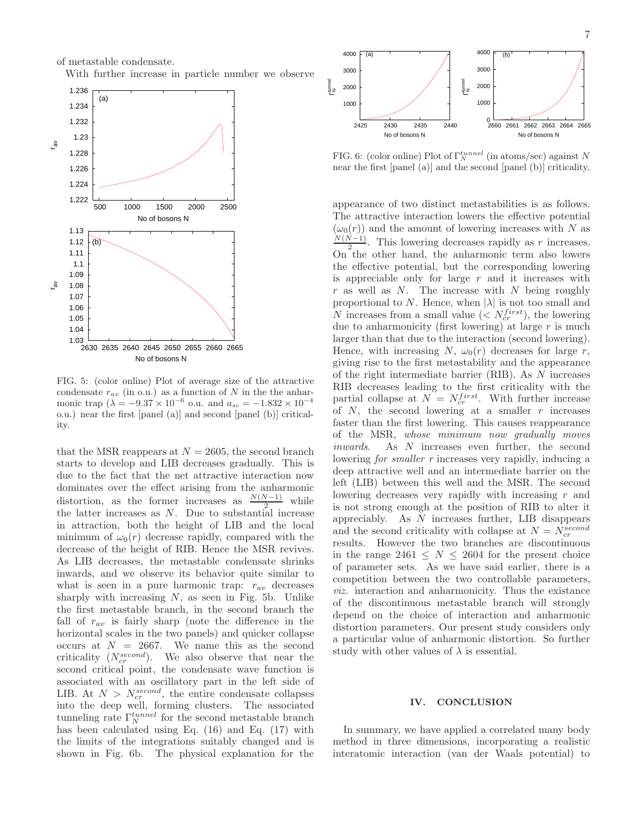of metastable condensate.

With further increase in particle number we observe



FIG. 5: (color online) Plot of average size of the attractive condensate  $r_{av}$  (in o.u.) as a function of N in the the anharmonic trap  $(\lambda = -9.37 \times 10^{-6} \text{ o.u.} \text{ and } a_{sc} = -1.832 \times 10^{-4}$ o.u.) near the first [panel (a)] and second [panel (b)] criticality.

that the MSR reappears at  $N = 2605$ , the second branch starts to develop and LIB decreases gradually. This is due to the fact that the net attractive interaction now dominates over the effect arising from the anharmonic distortion, as the former increases as  $\frac{N(N-1)}{2}$  while the latter increases as  $N$ . Due to substantial increase in attraction, both the height of LIB and the local minimum of  $\omega_0(r)$  decrease rapidly, compared with the decrease of the height of RIB. Hence the MSR revives. As LIB decreases, the metastable condensate shrinks inwards, and we observe its behavior quite similar to what is seen in a pure harmonic trap:  $r_{av}$  decreases sharply with increasing  $N$ , as seen in Fig. 5b. Unlike the first metastable branch, in the second branch the fall of  $r_{av}$  is fairly sharp (note the difference in the horizontal scales in the two panels) and quicker collapse occurs at  $N = 2667$ . We name this as the second criticality  $(N_{cr}^{second})$ . We also observe that near the second critical point, the condensate wave function is associated with an oscillatory part in the left side of LIB. At  $N > N_{cr}^{second}$ , the entire condensate collapses into the deep well, forming clusters. The associated tunneling rate  $\Gamma_N^{tunnel}$  for the second metastable branch has been calculated using Eq. (16) and Eq. (17) with the limits of the integrations suitably changed and is shown in Fig. 6b. The physical explanation for the



FIG. 6: (color online) Plot of  $\Gamma_N^{tunnel}$  (in atoms/sec) against N near the first [panel (a)] and the second [panel (b)] criticality.

appearance of two distinct metastabilities is as follows. The attractive interaction lowers the effective potential  $(\omega_0(r))$  and the amount of lowering increases with N as  $N(N-1)$  $\frac{v-1}{2}$ . This lowering decreases rapidly as r increases. On the other hand, the anharmonic term also lowers the effective potential, but the corresponding lowering is appreciable only for large  $r$  and it increases with r as well as  $N$ . The increase with  $N$  being roughly proportional to N. Hence, when  $|\lambda|$  is not too small and N increases from a small value ( $\langle N_{cr}^{first} \rangle$ , the lowering due to anharmonicity (first lowering) at large  $r$  is much larger than that due to the interaction (second lowering). Hence, with increasing N,  $\omega_0(r)$  decreases for large r, giving rise to the first metastability and the appearance of the right intermediate barrier (RIB). As N increases RIB decreases leading to the first criticality with the partial collapse at  $N = N_{cr}^{first}$ . With further increase of  $N$ , the second lowering at a smaller  $r$  increases faster than the first lowering. This causes reappearance of the MSR, whose minimum now gradually moves inwards. As N increases even further, the second lowering *for smaller* r increases very rapidly, inducing a deep attractive well and an intermediate barrier on the left (LIB) between this well and the MSR. The second lowering decreases very rapidly with increasing r and is not strong enough at the position of RIB to alter it appreciably. As N increases further, LIB disappears and the second criticality with collapse at  $N = N_{cr}^{second}$ results. However the two branches are discontinuous in the range 2461  $\leq N \leq 2604$  for the present choice of parameter sets. As we have said earlier, there is a competition between the two controllable parameters, viz. interaction and anharmonicity. Thus the existance of the discontinuous metastable branch will strongly depend on the choice of interaction and anharmonic distortion parameters. Our present study considers only a particular value of anharmonic distortion. So further study with other values of  $\lambda$  is essential.

#### IV. CONCLUSION

In summary, we have applied a correlated many body method in three dimensions, incorporating a realistic interatomic interaction (van der Waals potential) to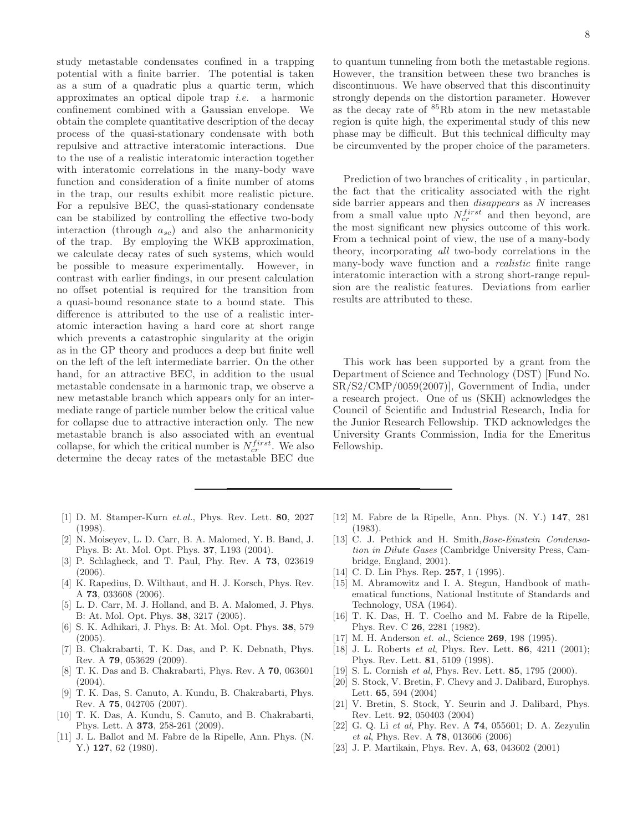study metastable condensates confined in a trapping potential with a finite barrier. The potential is taken as a sum of a quadratic plus a quartic term, which approximates an optical dipole trap i.e. a harmonic confinement combined with a Gaussian envelope. We obtain the complete quantitative description of the decay process of the quasi-stationary condensate with both repulsive and attractive interatomic interactions. Due to the use of a realistic interatomic interaction together with interatomic correlations in the many-body wave function and consideration of a finite number of atoms in the trap, our results exhibit more realistic picture. For a repulsive BEC, the quasi-stationary condensate can be stabilized by controlling the effective two-body interaction (through  $a_{sc}$ ) and also the anharmonicity of the trap. By employing the WKB approximation, we calculate decay rates of such systems, which would be possible to measure experimentally. However, in contrast with earlier findings, in our present calculation no offset potential is required for the transition from a quasi-bound resonance state to a bound state. This difference is attributed to the use of a realistic interatomic interaction having a hard core at short range which prevents a catastrophic singularity at the origin as in the GP theory and produces a deep but finite well on the left of the left intermediate barrier. On the other hand, for an attractive BEC, in addition to the usual metastable condensate in a harmonic trap, we observe a new metastable branch which appears only for an intermediate range of particle number below the critical value for collapse due to attractive interaction only. The new metastable branch is also associated with an eventual collapse, for which the critical number is  $N_{cr}^{first}$ . We also determine the decay rates of the metastable BEC due

- <span id="page-7-0"></span>[1] D. M. Stamper-Kurn et.al., Phys. Rev. Lett. 80, 2027 (1998).
- <span id="page-7-1"></span>[2] N. Moiseyev, L. D. Carr, B. A. Malomed, Y. B. Band, J. Phys. B: At. Mol. Opt. Phys. 37, L193 (2004).
- [3] P. Schlagheck, and T. Paul, Phy. Rev. A 73, 023619 (2006).
- [4] K. Rapedius, D. Wilthaut, and H. J. Korsch, Phys. Rev. A 73, 033608 (2006).
- <span id="page-7-20"></span>[5] L. D. Carr, M. J. Holland, and B. A. Malomed, J. Phys. B: At. Mol. Opt. Phys. 38, 3217 (2005).
- <span id="page-7-2"></span>[6] S. K. Adhikari, J. Phys. B: At. Mol. Opt. Phys. 38, 579 (2005).
- <span id="page-7-3"></span>[7] B. Chakrabarti, T. K. Das, and P. K. Debnath, Phys. Rev. A 79, 053629 (2009).
- <span id="page-7-4"></span>[8] T. K. Das and B. Chakrabarti, Phys. Rev. A 70, 063601  $(2004).$
- <span id="page-7-8"></span>[9] T. K. Das, S. Canuto, A. Kundu, B. Chakrabarti, Phys. Rev. A 75, 042705 (2007).
- <span id="page-7-5"></span>[10] T. K. Das, A. Kundu, S. Canuto, and B. Chakrabarti, Phys. Lett. A 373, 258-261 (2009).
- <span id="page-7-6"></span>[11] J. L. Ballot and M. Fabre de la Ripelle, Ann. Phys. (N. Y.) **127**, 62 (1980).

to quantum tunneling from both the metastable regions. However, the transition between these two branches is discontinuous. We have observed that this discontinuity strongly depends on the distortion parameter. However as the decay rate of <sup>85</sup>Rb atom in the new metastable region is quite high, the experimental study of this new phase may be difficult. But this technical difficulty may be circumvented by the proper choice of the parameters.

Prediction of two branches of criticality , in particular, the fact that the criticality associated with the right side barrier appears and then disappears as N increases from a small value upto  $N_{cr}^{first}$  and then beyond, are the most significant new physics outcome of this work. From a technical point of view, the use of a many-body theory, incorporating all two-body correlations in the many-body wave function and a *realistic* finite range interatomic interaction with a strong short-range repulsion are the realistic features. Deviations from earlier results are attributed to these.

This work has been supported by a grant from the Department of Science and Technology (DST) [Fund No. SR/S2/CMP/0059(2007)], Government of India, under a research project. One of us (SKH) acknowledges the Council of Scientific and Industrial Research, India for the Junior Research Fellowship. TKD acknowledges the University Grants Commission, India for the Emeritus Fellowship.

- <span id="page-7-7"></span>[12] M. Fabre de la Ripelle, Ann. Phys. (N. Y.) 147, 281 (1983).
- <span id="page-7-9"></span>[13] C. J. Pethick and H. Smith, Bose-Einstein Condensation in Dilute Gases (Cambridge University Press, Cambridge, England, 2001).
- <span id="page-7-10"></span>[14] C. D. Lin Phys. Rep. **257**, 1 (1995).
- <span id="page-7-11"></span>[15] M. Abramowitz and I. A. Stegun, Handbook of mathematical functions, National Institute of Standards and Technology, USA (1964).
- <span id="page-7-12"></span>[16] T. K. Das, H. T. Coelho and M. Fabre de la Ripelle, Phys. Rev. C 26, 2281 (1982).
- <span id="page-7-13"></span>[17] M. H. Anderson et. al., Science **269**, 198 (1995).
- <span id="page-7-14"></span>[18] J. L. Roberts *et al*, Phys. Rev. Lett. **86**, 4211 (2001); Phys. Rev. Lett. 81, 5109 (1998).
- <span id="page-7-15"></span>[19] S. L. Cornish et al, Phys. Rev. Lett. 85, 1795 (2000).
- <span id="page-7-16"></span>[20] S. Stock, V. Bretin, F. Chevy and J. Dalibard, Europhys. Lett. 65, 594 (2004)
- <span id="page-7-17"></span>[21] V. Bretin, S. Stock, Y. Seurin and J. Dalibard, Phys. Rev. Lett. 92, 050403 (2004)
- <span id="page-7-18"></span>[22] G. Q. Li et al, Phy. Rev. A 74, 055601; D. A. Zezyulin et al, Phys. Rev. A 78, 013606 (2006)
- <span id="page-7-19"></span>[23] J. P. Martikain, Phys. Rev. A, 63, 043602 (2001)